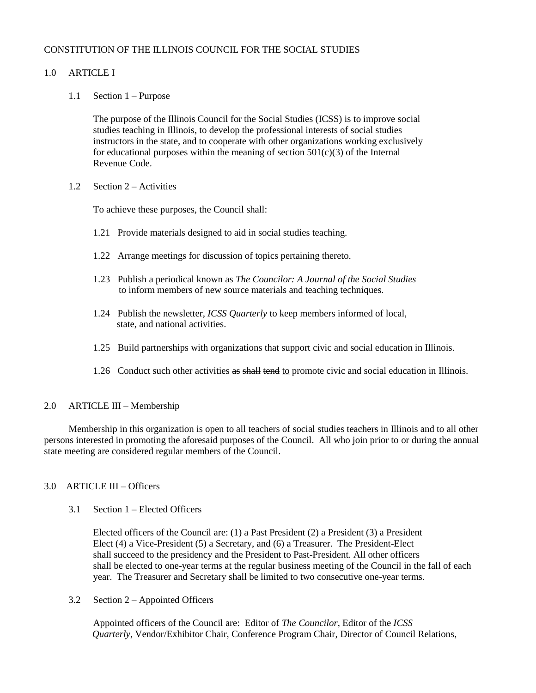### CONSTITUTION OF THE ILLINOIS COUNCIL FOR THE SOCIAL STUDIES

### 1.0 ARTICLE I

1.1 Section 1 – Purpose

The purpose of the Illinois Council for the Social Studies (ICSS) is to improve social studies teaching in Illinois, to develop the professional interests of social studies instructors in the state, and to cooperate with other organizations working exclusively for educational purposes within the meaning of section  $501(c)(3)$  of the Internal Revenue Code.

1.2 Section 2 – Activities

To achieve these purposes, the Council shall:

- 1.21 Provide materials designed to aid in social studies teaching.
- 1.22 Arrange meetings for discussion of topics pertaining thereto.
- 1.23 Publish a periodical known as *The Councilor: A Journal of the Social Studies* to inform members of new source materials and teaching techniques.
- 1.24 Publish the newsletter, *ICSS Quarterly* to keep members informed of local, state, and national activities.
- 1.25 Build partnerships with organizations that support civic and social education in Illinois.
- 1.26 Conduct such other activities as shall tend to promote civic and social education in Illinois.

#### 2.0 ARTICLE III – Membership

Membership in this organization is open to all teachers of social studies teachers in Illinois and to all other persons interested in promoting the aforesaid purposes of the Council. All who join prior to or during the annual state meeting are considered regular members of the Council.

### 3.0 ARTICLE III – Officers

3.1 Section 1 – Elected Officers

Elected officers of the Council are: (1) a Past President (2) a President (3) a President Elect (4) a Vice-President (5) a Secretary, and (6) a Treasurer. The President-Elect shall succeed to the presidency and the President to Past-President. All other officers shall be elected to one-year terms at the regular business meeting of the Council in the fall of each year. The Treasurer and Secretary shall be limited to two consecutive one-year terms.

3.2 Section 2 – Appointed Officers

Appointed officers of the Council are: Editor of *The Councilor*, Editor of the *ICSS Quarterly*, Vendor/Exhibitor Chair, Conference Program Chair, Director of Council Relations,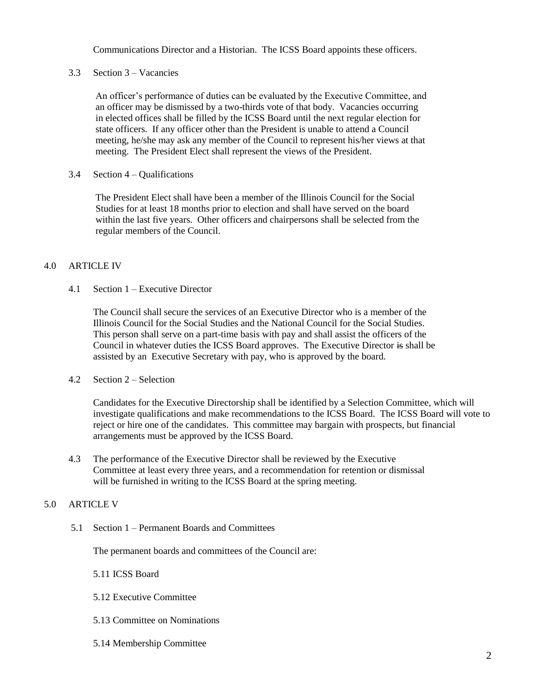Communications Director and a Historian. The ICSS Board appoints these officers.

3.3 Section 3 – Vacancies

An officer's performance of duties can be evaluated by the Executive Committee, and an officer may be dismissed by a two-thirds vote of that body. Vacancies occurring in elected offices shall be filled by the ICSS Board until the next regular election for state officers. If any officer other than the President is unable to attend a Council meeting, he/she may ask any member of the Council to represent his/her views at that meeting. The President Elect shall represent the views of the President.

3.4 Section 4 – Qualifications

The President Elect shall have been a member of the Illinois Council for the Social Studies for at least 18 months prior to election and shall have served on the board within the last five years. Other officers and chairpersons shall be selected from the regular members of the Council.

#### 4.0 ARTICLE IV

4.1 Section 1 – Executive Director

The Council shall secure the services of an Executive Director who is a member of the Illinois Council for the Social Studies and the National Council for the Social Studies. This person shall serve on a part-time basis with pay and shall assist the officers of the Council in whatever duties the ICSS Board approves. The Executive Director is shall be assisted by an Executive Secretary with pay, who is approved by the board.

4.2 Section 2 – Selection

Candidates for the Executive Directorship shall be identified by a Selection Committee, which will investigate qualifications and make recommendations to the ICSS Board. The ICSS Board will vote to reject or hire one of the candidates. This committee may bargain with prospects, but financial arrangements must be approved by the ICSS Board.

4.3 The performance of the Executive Director shall be reviewed by the Executive Committee at least every three years, and a recommendation for retention or dismissal will be furnished in writing to the ICSS Board at the spring meeting.

### 5.0 ARTICLE V

5.1 Section 1 – Permanent Boards and Committees

The permanent boards and committees of the Council are:

5.11 ICSS Board

- 5.12 Executive Committee
- 5.13 Committee on Nominations
- 5.14 Membership Committee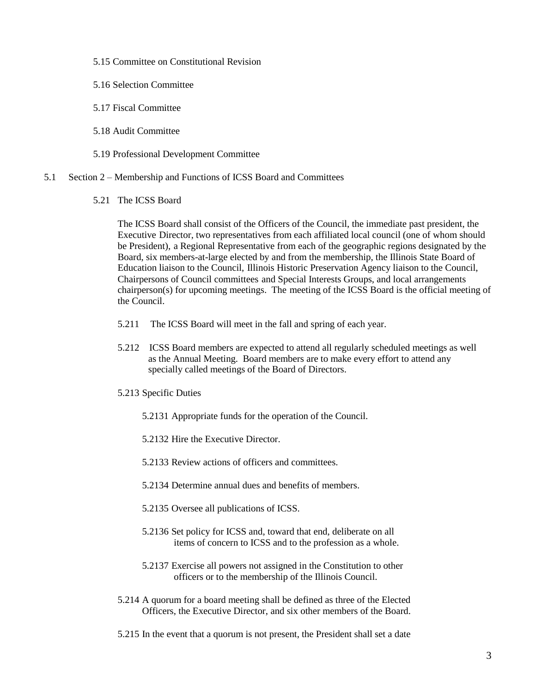- 5.15 Committee on Constitutional Revision
- 5.16 Selection Committee
- 5.17 Fiscal Committee
- 5.18 Audit Committee
- 5.19 Professional Development Committee
- 5.1 Section 2 Membership and Functions of ICSS Board and Committees
	- 5.21 The ICSS Board

The ICSS Board shall consist of the Officers of the Council, the immediate past president, the Executive Director, two representatives from each affiliated local council (one of whom should be President), a Regional Representative from each of the geographic regions designated by the Board, six members-at-large elected by and from the membership, the Illinois State Board of Education liaison to the Council, Illinois Historic Preservation Agency liaison to the Council, Chairpersons of Council committees and Special Interests Groups, and local arrangements chairperson(s) for upcoming meetings. The meeting of the ICSS Board is the official meeting of the Council.

- 5.211 The ICSS Board will meet in the fall and spring of each year.
- 5.212 ICSS Board members are expected to attend all regularly scheduled meetings as well as the Annual Meeting. Board members are to make every effort to attend any specially called meetings of the Board of Directors.
- 5.213 Specific Duties
	- 5.2131 Appropriate funds for the operation of the Council.
	- 5.2132 Hire the Executive Director.
	- 5.2133 Review actions of officers and committees.
	- 5.2134 Determine annual dues and benefits of members.
	- 5.2135 Oversee all publications of ICSS.
	- 5.2136 Set policy for ICSS and, toward that end, deliberate on all items of concern to ICSS and to the profession as a whole.
	- 5.2137 Exercise all powers not assigned in the Constitution to other officers or to the membership of the Illinois Council.
- 5.214 A quorum for a board meeting shall be defined as three of the Elected Officers, the Executive Director, and six other members of the Board.
- 5.215 In the event that a quorum is not present, the President shall set a date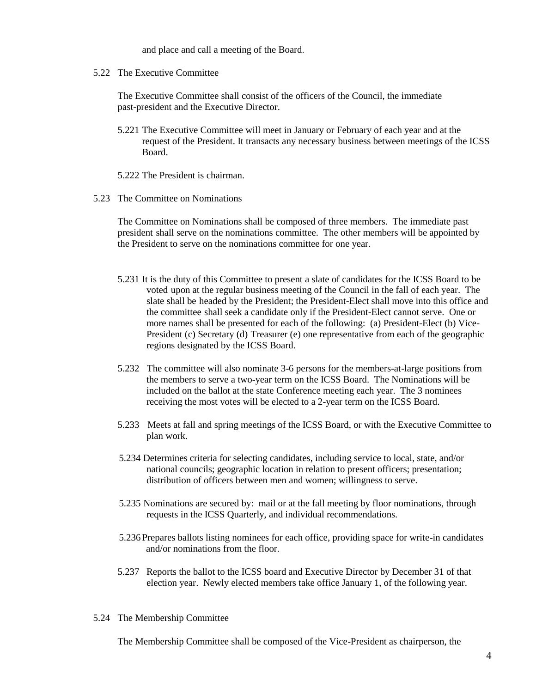and place and call a meeting of the Board.

5.22 The Executive Committee

The Executive Committee shall consist of the officers of the Council, the immediate past-president and the Executive Director.

- 5.221 The Executive Committee will meet in January or February of each year and at the request of the President. It transacts any necessary business between meetings of the ICSS Board.
- 5.222 The President is chairman.
- 5.23 The Committee on Nominations

The Committee on Nominations shall be composed of three members. The immediate past president shall serve on the nominations committee. The other members will be appointed by the President to serve on the nominations committee for one year.

- 5.231 It is the duty of this Committee to present a slate of candidates for the ICSS Board to be voted upon at the regular business meeting of the Council in the fall of each year. The slate shall be headed by the President; the President-Elect shall move into this office and the committee shall seek a candidate only if the President-Elect cannot serve. One or more names shall be presented for each of the following: (a) President-Elect (b) Vice-President (c) Secretary (d) Treasurer (e) one representative from each of the geographic regions designated by the ICSS Board.
- 5.232 The committee will also nominate 3-6 persons for the members-at-large positions from the members to serve a two-year term on the ICSS Board. The Nominations will be included on the ballot at the state Conference meeting each year. The 3 nominees receiving the most votes will be elected to a 2-year term on the ICSS Board.
- 5.233 Meets at fall and spring meetings of the ICSS Board, or with the Executive Committee to plan work.
- 5.234 Determines criteria for selecting candidates, including service to local, state, and/or national councils; geographic location in relation to present officers; presentation; distribution of officers between men and women; willingness to serve.
- 5.235 Nominations are secured by: mail or at the fall meeting by floor nominations, through requests in the ICSS Quarterly, and individual recommendations.
- 5.236 Prepares ballots listing nominees for each office, providing space for write-in candidates and/or nominations from the floor.
- 5.237 Reports the ballot to the ICSS board and Executive Director by December 31 of that election year. Newly elected members take office January 1, of the following year.
- 5.24 The Membership Committee

The Membership Committee shall be composed of the Vice-President as chairperson, the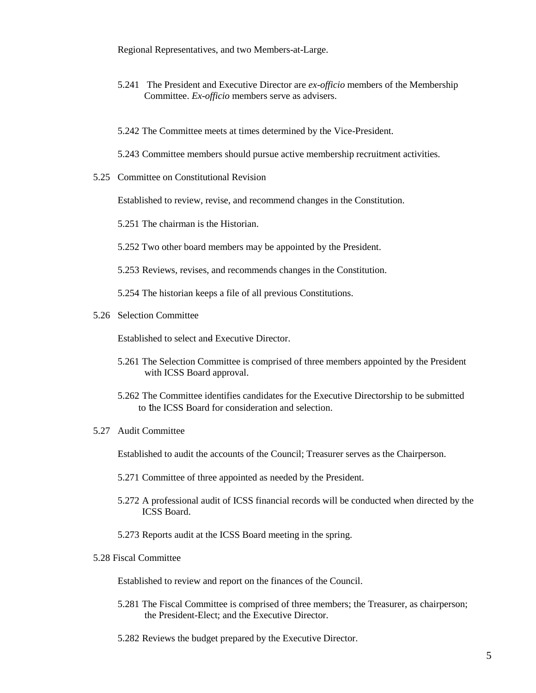Regional Representatives, and two Members-at-Large.

- 5.241 The President and Executive Director are *ex-officio* members of the Membership Committee. *Ex-officio* members serve as advisers.
- 5.242 The Committee meets at times determined by the Vice-President.
- 5.243 Committee members should pursue active membership recruitment activities.
- 5.25 Committee on Constitutional Revision

Established to review, revise, and recommend changes in the Constitution.

5.251 The chairman is the Historian.

5.252 Two other board members may be appointed by the President.

5.253 Reviews, revises, and recommends changes in the Constitution.

5.254 The historian keeps a file of all previous Constitutions.

5.26 Selection Committee

Established to select and Executive Director.

- 5.261 The Selection Committee is comprised of three members appointed by the President with ICSS Board approval.
- 5.262 The Committee identifies candidates for the Executive Directorship to be submitted to the ICSS Board for consideration and selection.
- 5.27 Audit Committee

Established to audit the accounts of the Council; Treasurer serves as the Chairperson.

- 5.271 Committee of three appointed as needed by the President.
- 5.272 A professional audit of ICSS financial records will be conducted when directed by the ICSS Board.
- 5.273 Reports audit at the ICSS Board meeting in the spring.

#### 5.28 Fiscal Committee

Established to review and report on the finances of the Council.

- 5.281 The Fiscal Committee is comprised of three members; the Treasurer, as chairperson; the President-Elect; and the Executive Director.
- 5.282 Reviews the budget prepared by the Executive Director.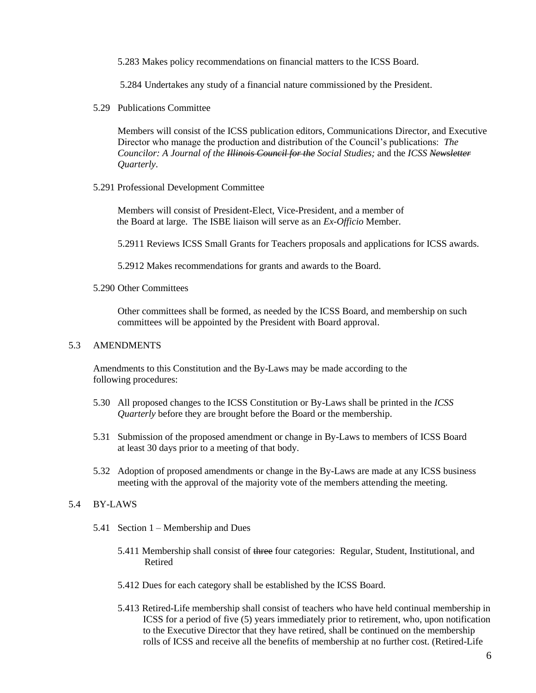5.283 Makes policy recommendations on financial matters to the ICSS Board.

5.284 Undertakes any study of a financial nature commissioned by the President.

5.29 Publications Committee

 Members will consist of the ICSS publication editors, Communications Director, and Executive Director who manage the production and distribution of the Council's publications: *The Councilor: A Journal of the Illinois Council for the Social Studies;* and the *ICSS Newsletter Quarterly*.

5.291 Professional Development Committee

Members will consist of President-Elect, Vice-President, and a member of the Board at large. The ISBE liaison will serve as an *Ex-Officio* Member.

5.2911 Reviews ICSS Small Grants for Teachers proposals and applications for ICSS awards.

5.2912 Makes recommendations for grants and awards to the Board.

5.290 Other Committees

Other committees shall be formed, as needed by the ICSS Board, and membership on such committees will be appointed by the President with Board approval.

#### 5.3 AMENDMENTS

Amendments to this Constitution and the By-Laws may be made according to the following procedures:

- 5.30 All proposed changes to the ICSS Constitution or By-Laws shall be printed in the *ICSS Quarterly* before they are brought before the Board or the membership.
- 5.31 Submission of the proposed amendment or change in By-Laws to members of ICSS Board at least 30 days prior to a meeting of that body.
- 5.32 Adoption of proposed amendments or change in the By-Laws are made at any ICSS business meeting with the approval of the majority vote of the members attending the meeting.

### 5.4 BY-LAWS

- 5.41 Section 1 Membership and Dues
	- 5.411 Membership shall consist of three four categories: Regular, Student, Institutional, and Retired
	- 5.412 Dues for each category shall be established by the ICSS Board.
	- 5.413 Retired-Life membership shall consist of teachers who have held continual membership in ICSS for a period of five (5) years immediately prior to retirement, who, upon notification to the Executive Director that they have retired, shall be continued on the membership rolls of ICSS and receive all the benefits of membership at no further cost. (Retired-Life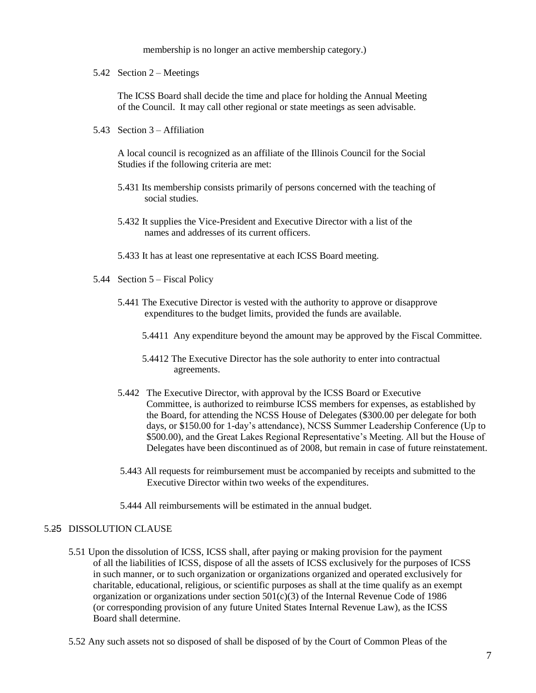membership is no longer an active membership category.)

5.42 Section 2 – Meetings

The ICSS Board shall decide the time and place for holding the Annual Meeting of the Council. It may call other regional or state meetings as seen advisable.

5.43 Section 3 – Affiliation

A local council is recognized as an affiliate of the Illinois Council for the Social Studies if the following criteria are met:

- 5.431 Its membership consists primarily of persons concerned with the teaching of social studies.
- 5.432 It supplies the Vice-President and Executive Director with a list of the names and addresses of its current officers.
- 5.433 It has at least one representative at each ICSS Board meeting.
- 5.44 Section 5 Fiscal Policy
	- 5.441 The Executive Director is vested with the authority to approve or disapprove expenditures to the budget limits, provided the funds are available.
		- 5.4411 Any expenditure beyond the amount may be approved by the Fiscal Committee.
		- 5.4412 The Executive Director has the sole authority to enter into contractual agreements.
	- 5.442 The Executive Director, with approval by the ICSS Board or Executive Committee, is authorized to reimburse ICSS members for expenses, as established by the Board, for attending the NCSS House of Delegates (\$300.00 per delegate for both days, or \$150.00 for 1-day's attendance), NCSS Summer Leadership Conference (Up to \$500.00), and the Great Lakes Regional Representative's Meeting. All but the House of Delegates have been discontinued as of 2008, but remain in case of future reinstatement.
	- 5.443 All requests for reimbursement must be accompanied by receipts and submitted to the Executive Director within two weeks of the expenditures.
	- 5.444 All reimbursements will be estimated in the annual budget.

#### 5.25 DISSOLUTION CLAUSE

- 5.51 Upon the dissolution of ICSS, ICSS shall, after paying or making provision for the payment of all the liabilities of ICSS, dispose of all the assets of ICSS exclusively for the purposes of ICSS in such manner, or to such organization or organizations organized and operated exclusively for charitable, educational, religious, or scientific purposes as shall at the time qualify as an exempt organization or organizations under section  $501(c)(3)$  of the Internal Revenue Code of 1986 (or corresponding provision of any future United States Internal Revenue Law), as the ICSS Board shall determine.
- 5.52 Any such assets not so disposed of shall be disposed of by the Court of Common Pleas of the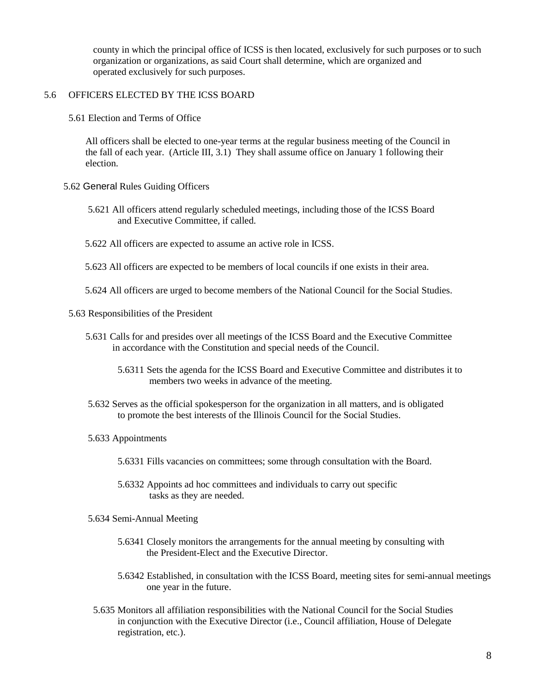county in which the principal office of ICSS is then located, exclusively for such purposes or to such organization or organizations, as said Court shall determine, which are organized and operated exclusively for such purposes.

### 5.6 OFFICERS ELECTED BY THE ICSS BOARD

5.61 Election and Terms of Office

 All officers shall be elected to one-year terms at the regular business meeting of the Council in the fall of each year. (Article III, 3.1) They shall assume office on January 1 following their election.

- 5.62 General Rules Guiding Officers
	- 5.621 All officers attend regularly scheduled meetings, including those of the ICSS Board and Executive Committee, if called.
	- 5.622 All officers are expected to assume an active role in ICSS.
	- 5.623 All officers are expected to be members of local councils if one exists in their area.
	- 5.624 All officers are urged to become members of the National Council for the Social Studies.

5.63 Responsibilities of the President

- 5.631 Calls for and presides over all meetings of the ICSS Board and the Executive Committee in accordance with the Constitution and special needs of the Council.
	- 5.6311 Sets the agenda for the ICSS Board and Executive Committee and distributes it to members two weeks in advance of the meeting.
- 5.632 Serves as the official spokesperson for the organization in all matters, and is obligated to promote the best interests of the Illinois Council for the Social Studies.
- 5.633 Appointments
	- 5.6331 Fills vacancies on committees; some through consultation with the Board.
	- 5.6332 Appoints ad hoc committees and individuals to carry out specific tasks as they are needed.
- 5.634 Semi-Annual Meeting
	- 5.6341 Closely monitors the arrangements for the annual meeting by consulting with the President-Elect and the Executive Director.
	- 5.6342 Established, in consultation with the ICSS Board, meeting sites for semi-annual meetings one year in the future.
- 5.635 Monitors all affiliation responsibilities with the National Council for the Social Studies in conjunction with the Executive Director (i.e., Council affiliation, House of Delegate registration, etc.).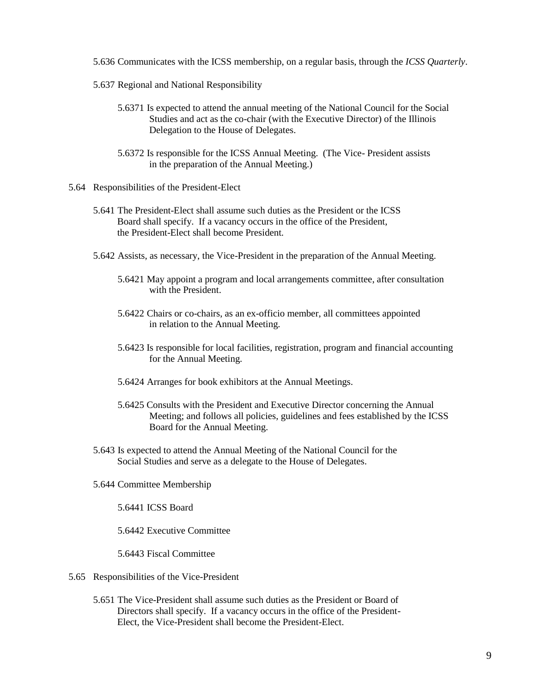- 5.636 Communicates with the ICSS membership, on a regular basis, through the *ICSS Quarterly*.
- 5.637 Regional and National Responsibility
	- 5.6371 Is expected to attend the annual meeting of the National Council for the Social Studies and act as the co-chair (with the Executive Director) of the Illinois Delegation to the House of Delegates.
	- 5.6372 Is responsible for the ICSS Annual Meeting. (The Vice- President assists in the preparation of the Annual Meeting.)
- 5.64 Responsibilities of the President-Elect
	- 5.641 The President-Elect shall assume such duties as the President or the ICSS Board shall specify. If a vacancy occurs in the office of the President, the President-Elect shall become President.
	- 5.642 Assists, as necessary, the Vice-President in the preparation of the Annual Meeting.
		- 5.6421 May appoint a program and local arrangements committee, after consultation with the President.
		- 5.6422 Chairs or co-chairs, as an ex-officio member, all committees appointed in relation to the Annual Meeting.
		- 5.6423 Is responsible for local facilities, registration, program and financial accounting for the Annual Meeting.
		- 5.6424 Arranges for book exhibitors at the Annual Meetings.
		- 5.6425 Consults with the President and Executive Director concerning the Annual Meeting; and follows all policies, guidelines and fees established by the ICSS Board for the Annual Meeting.
	- 5.643 Is expected to attend the Annual Meeting of the National Council for the Social Studies and serve as a delegate to the House of Delegates.
	- 5.644 Committee Membership

5.6441 ICSS Board

5.6442 Executive Committee

5.6443 Fiscal Committee

- 5.65 Responsibilities of the Vice-President
	- 5.651 The Vice-President shall assume such duties as the President or Board of Directors shall specify. If a vacancy occurs in the office of the President- Elect, the Vice-President shall become the President-Elect.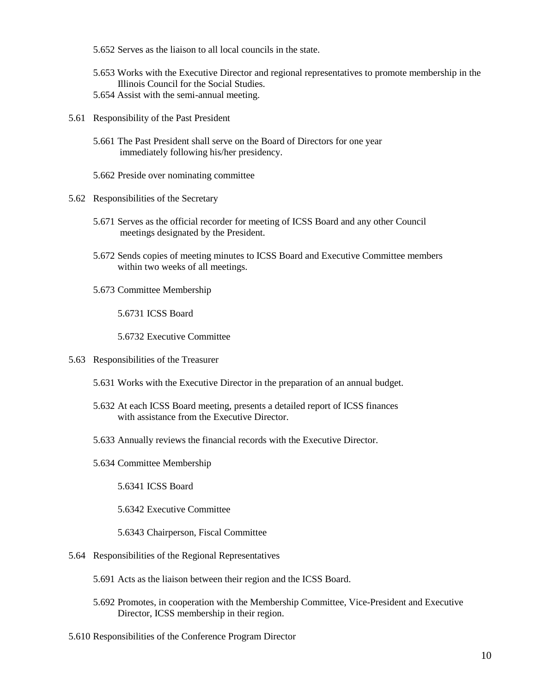- 5.652 Serves as the liaison to all local councils in the state.
- 5.653 Works with the Executive Director and regional representatives to promote membership in the Illinois Council for the Social Studies. 5.654 Assist with the semi-annual meeting.
- 
- 5.61 Responsibility of the Past President
	- 5.661 The Past President shall serve on the Board of Directors for one year immediately following his/her presidency.
	- 5.662 Preside over nominating committee
- 5.62 Responsibilities of the Secretary
	- 5.671 Serves as the official recorder for meeting of ICSS Board and any other Council meetings designated by the President.
	- 5.672 Sends copies of meeting minutes to ICSS Board and Executive Committee members within two weeks of all meetings.
	- 5.673 Committee Membership

5.6731 ICSS Board

5.6732 Executive Committee

- 5.63 Responsibilities of the Treasurer
	- 5.631 Works with the Executive Director in the preparation of an annual budget.
	- 5.632 At each ICSS Board meeting, presents a detailed report of ICSS finances with assistance from the Executive Director.
	- 5.633 Annually reviews the financial records with the Executive Director.
	- 5.634 Committee Membership

5.6341 ICSS Board

5.6342 Executive Committee

5.6343 Chairperson, Fiscal Committee

- 5.64 Responsibilities of the Regional Representatives
	- 5.691 Acts as the liaison between their region and the ICSS Board.
	- 5.692 Promotes, in cooperation with the Membership Committee, Vice-President and Executive Director, ICSS membership in their region.

5.610 Responsibilities of the Conference Program Director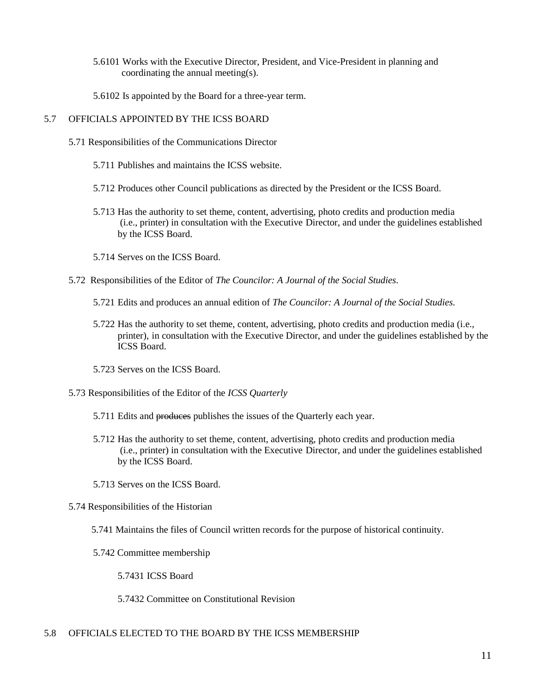- 5.6101 Works with the Executive Director, President, and Vice-President in planning and coordinating the annual meeting(s).
- 5.6102 Is appointed by the Board for a three-year term.

## 5.7 OFFICIALS APPOINTED BY THE ICSS BOARD

- 5.71 Responsibilities of the Communications Director
	- 5.711 Publishes and maintains the ICSS website.
	- 5.712 Produces other Council publications as directed by the President or the ICSS Board.
	- 5.713 Has the authority to set theme, content, advertising, photo credits and production media (i.e., printer) in consultation with the Executive Director, and under the guidelines established by the ICSS Board.
	- 5.714 Serves on the ICSS Board.
- 5.72 Responsibilities of the Editor of *The Councilor: A Journal of the Social Studies.*
	- 5.721 Edits and produces an annual edition of *The Councilor: A Journal of the Social Studies.*
	- 5.722 Has the authority to set theme, content, advertising, photo credits and production media (i.e., printer), in consultation with the Executive Director, and under the guidelines established by the ICSS Board.
	- 5.723 Serves on the ICSS Board.
- 5.73 Responsibilities of the Editor of the *ICSS Quarterly*
	- 5.711 Edits and produces publishes the issues of the Quarterly each year.
	- 5.712 Has the authority to set theme, content, advertising, photo credits and production media (i.e., printer) in consultation with the Executive Director, and under the guidelines established by the ICSS Board.
	- 5.713 Serves on the ICSS Board.
- 5.74 Responsibilities of the Historian
	- 5.741 Maintains the files of Council written records for the purpose of historical continuity.
	- 5.742 Committee membership

5.7431 ICSS Board

5.7432 Committee on Constitutional Revision

#### 5.8 OFFICIALS ELECTED TO THE BOARD BY THE ICSS MEMBERSHIP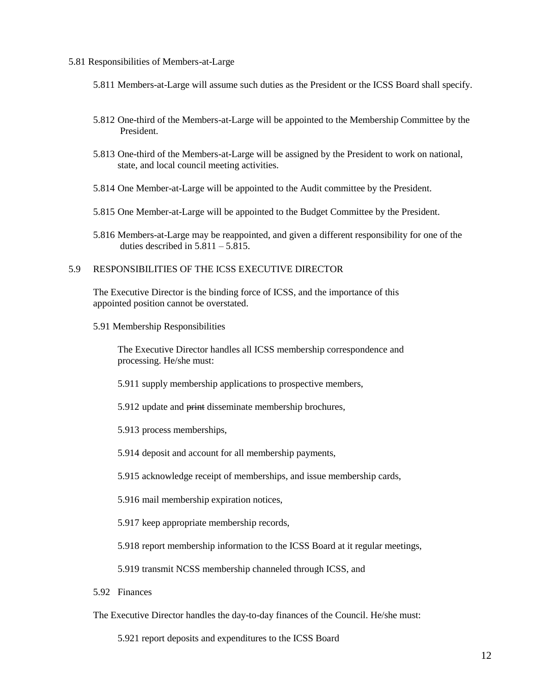#### 5.81 Responsibilities of Members-at-Large

- 5.811 Members-at-Large will assume such duties as the President or the ICSS Board shall specify.
- 5.812 One-third of the Members-at-Large will be appointed to the Membership Committee by the President.
- 5.813 One-third of the Members-at-Large will be assigned by the President to work on national, state, and local council meeting activities.
- 5.814 One Member-at-Large will be appointed to the Audit committee by the President.
- 5.815 One Member-at-Large will be appointed to the Budget Committee by the President.
- 5.816 Members-at-Large may be reappointed, and given a different responsibility for one of the duties described in  $5.811 - 5.815$ .

#### 5.9 RESPONSIBILITIES OF THE ICSS EXECUTIVE DIRECTOR

The Executive Director is the binding force of ICSS, and the importance of this appointed position cannot be overstated.

5.91 Membership Responsibilities

The Executive Director handles all ICSS membership correspondence and processing. He/she must:

- 5.911 supply membership applications to prospective members,
- 5.912 update and print disseminate membership brochures,
- 5.913 process memberships,
- 5.914 deposit and account for all membership payments,

5.915 acknowledge receipt of memberships, and issue membership cards,

- 5.916 mail membership expiration notices,
- 5.917 keep appropriate membership records,

5.918 report membership information to the ICSS Board at it regular meetings,

5.919 transmit NCSS membership channeled through ICSS, and

5.92 Finances

The Executive Director handles the day-to-day finances of the Council. He/she must:

5.921 report deposits and expenditures to the ICSS Board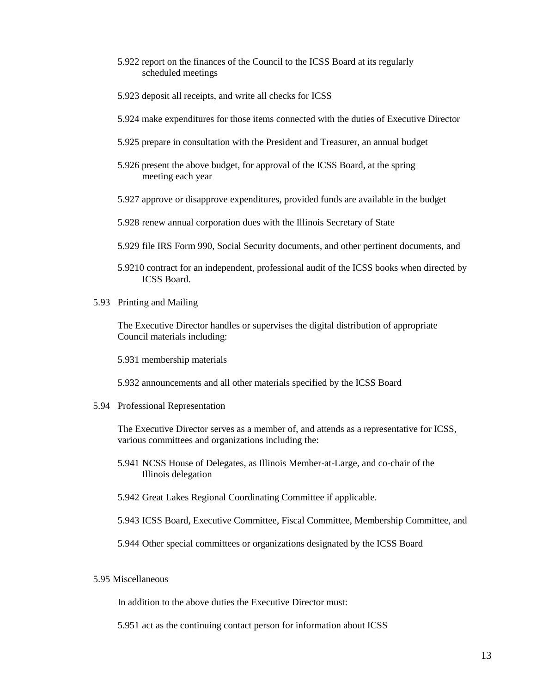- 5.922 report on the finances of the Council to the ICSS Board at its regularly scheduled meetings
- 5.923 deposit all receipts, and write all checks for ICSS
- 5.924 make expenditures for those items connected with the duties of Executive Director
- 5.925 prepare in consultation with the President and Treasurer, an annual budget
- 5.926 present the above budget, for approval of the ICSS Board, at the spring meeting each year
- 5.927 approve or disapprove expenditures, provided funds are available in the budget
- 5.928 renew annual corporation dues with the Illinois Secretary of State
- 5.929 file IRS Form 990, Social Security documents, and other pertinent documents, and
- 5.9210 contract for an independent, professional audit of the ICSS books when directed by ICSS Board.
- 5.93 Printing and Mailing

The Executive Director handles or supervises the digital distribution of appropriate Council materials including:

5.931 membership materials

- 5.932 announcements and all other materials specified by the ICSS Board
- 5.94 Professional Representation

The Executive Director serves as a member of, and attends as a representative for ICSS, various committees and organizations including the:

- 5.941 NCSS House of Delegates, as Illinois Member-at-Large, and co-chair of the Illinois delegation
- 5.942 Great Lakes Regional Coordinating Committee if applicable.
- 5.943 ICSS Board, Executive Committee, Fiscal Committee, Membership Committee, and
- 5.944 Other special committees or organizations designated by the ICSS Board

# 5.95 Miscellaneous

In addition to the above duties the Executive Director must:

5.951 act as the continuing contact person for information about ICSS